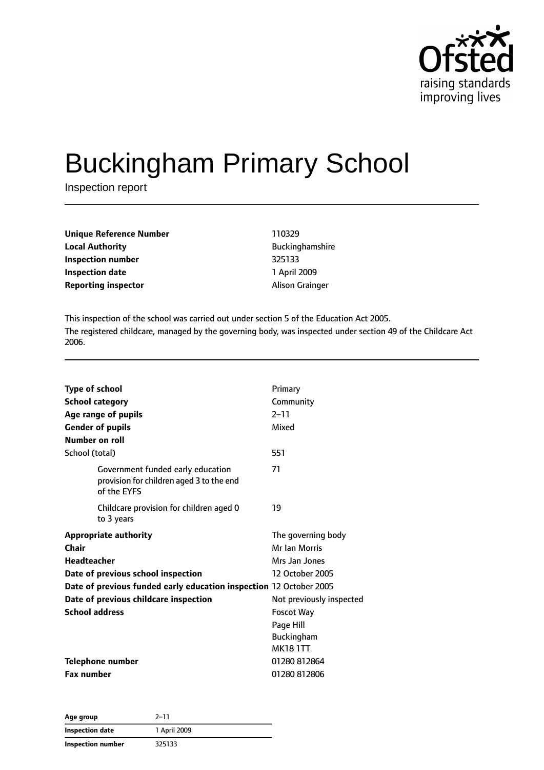

# Buckingham Primary School

Inspection report

| Unique Reference Number |  |
|-------------------------|--|
| <b>Local Authority</b>  |  |
| Inspection number       |  |
| <b>Inspection date</b>  |  |
| Reporting inspector     |  |

**Unique Reference Number** 110329 **Buckinghamshire Inspection number** 325133 **Inspection date** 1 April 2009 **Alison Grainger** 

This inspection of the school was carried out under section 5 of the Education Act 2005. The registered childcare, managed by the governing body, was inspected under section 49 of the Childcare Act 2006.

| <b>Type of school</b><br><b>School category</b><br>Age range of pupils<br><b>Gender of pupils</b>                                                                                                                                         | Primary<br>Community<br>$2 - 11$<br>Mixed                                                                                                                             |
|-------------------------------------------------------------------------------------------------------------------------------------------------------------------------------------------------------------------------------------------|-----------------------------------------------------------------------------------------------------------------------------------------------------------------------|
| Number on roll                                                                                                                                                                                                                            |                                                                                                                                                                       |
| School (total)                                                                                                                                                                                                                            | 551                                                                                                                                                                   |
| Government funded early education<br>provision for children aged 3 to the end<br>of the EYFS                                                                                                                                              | 71                                                                                                                                                                    |
| Childcare provision for children aged 0<br>to 3 years                                                                                                                                                                                     | 19                                                                                                                                                                    |
| <b>Appropriate authority</b><br>Chair<br><b>Headteacher</b><br>Date of previous school inspection<br>Date of previous funded early education inspection 12 October 2005<br>Date of previous childcare inspection<br><b>School address</b> | The governing body<br>Mr Ian Morris<br>Mrs Jan Jones<br>12 October 2005<br>Not previously inspected<br><b>Foscot Way</b><br>Page Hill<br>Buckingham<br><b>MK181TT</b> |
| <b>Telephone number</b><br><b>Fax number</b>                                                                                                                                                                                              | 01280 812864<br>01280812806                                                                                                                                           |

| Age group                | $2 - 11$     |  |
|--------------------------|--------------|--|
| Inspection date          | 1 April 2009 |  |
| <b>Inspection number</b> | 325133       |  |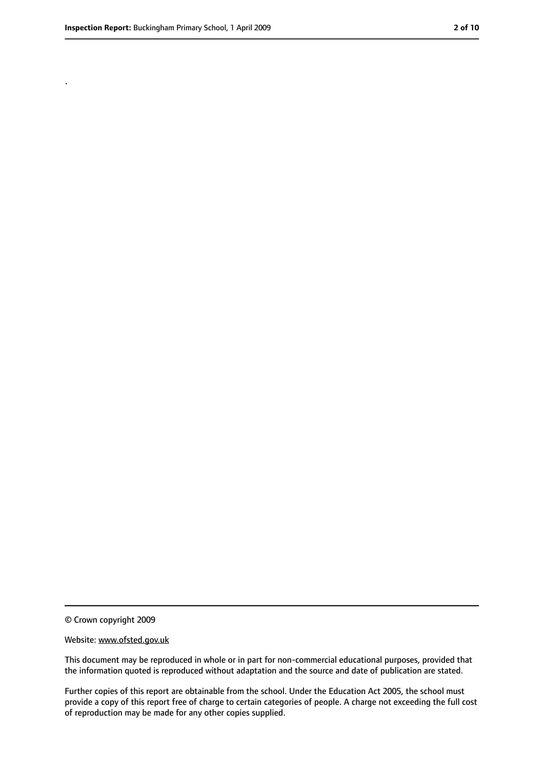.

<sup>©</sup> Crown copyright 2009

Website: www.ofsted.gov.uk

This document may be reproduced in whole or in part for non-commercial educational purposes, provided that the information quoted is reproduced without adaptation and the source and date of publication are stated.

Further copies of this report are obtainable from the school. Under the Education Act 2005, the school must provide a copy of this report free of charge to certain categories of people. A charge not exceeding the full cost of reproduction may be made for any other copies supplied.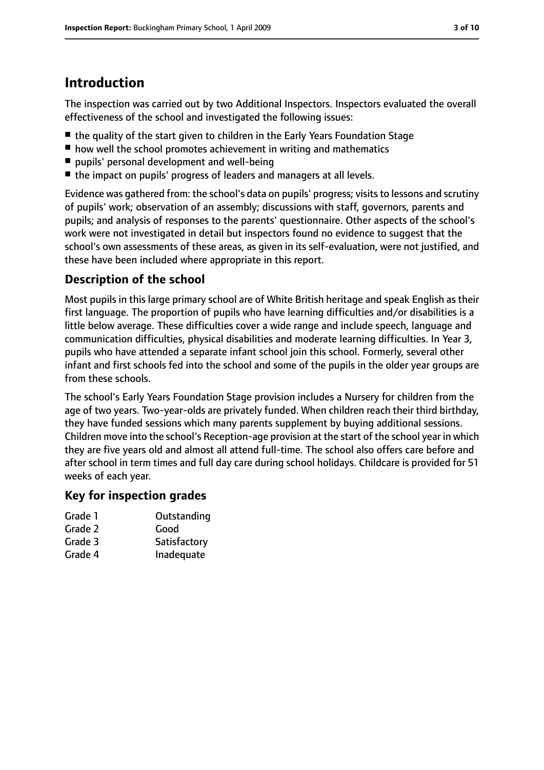# **Introduction**

The inspection was carried out by two Additional Inspectors. Inspectors evaluated the overall effectiveness of the school and investigated the following issues:

- the quality of the start given to children in the Early Years Foundation Stage
- how well the school promotes achievement in writing and mathematics
- pupils' personal development and well-being
- the impact on pupils' progress of leaders and managers at all levels.

Evidence was gathered from: the school's data on pupils' progress; visits to lessons and scrutiny of pupils' work; observation of an assembly; discussions with staff, governors, parents and pupils; and analysis of responses to the parents' questionnaire. Other aspects of the school's work were not investigated in detail but inspectors found no evidence to suggest that the school's own assessments of these areas, as given in its self-evaluation, were not justified, and these have been included where appropriate in this report.

### **Description of the school**

Most pupils in this large primary school are of White British heritage and speak English as their first language. The proportion of pupils who have learning difficulties and/or disabilities is a little below average. These difficulties cover a wide range and include speech, language and communication difficulties, physical disabilities and moderate learning difficulties. In Year 3, pupils who have attended a separate infant school join this school. Formerly, several other infant and first schools fed into the school and some of the pupils in the older year groups are from these schools.

The school's Early Years Foundation Stage provision includes a Nursery for children from the age of two years. Two-year-olds are privately funded. When children reach their third birthday, they have funded sessions which many parents supplement by buying additional sessions. Children move into the school's Reception-age provision at the start of the school year in which they are five years old and almost all attend full-time. The school also offers care before and after school in term times and full day care during school holidays. Childcare is provided for 51 weeks of each year.

#### **Key for inspection grades**

- Grade 1 **Outstanding**
- Grade 2 Good
- Grade 3 Satisfactory
- Grade 4 Inadequate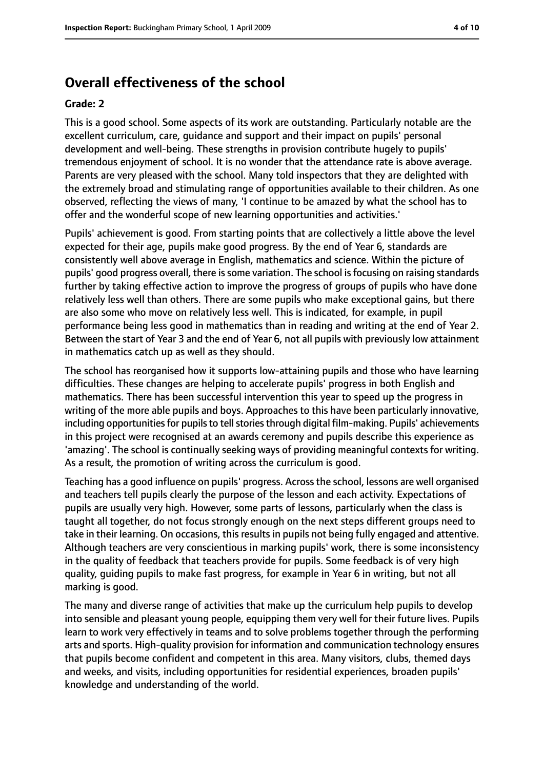# **Overall effectiveness of the school**

#### **Grade: 2**

This is a good school. Some aspects of its work are outstanding. Particularly notable are the excellent curriculum, care, guidance and support and their impact on pupils' personal development and well-being. These strengths in provision contribute hugely to pupils' tremendous enjoyment of school. It is no wonder that the attendance rate is above average. Parents are very pleased with the school. Many told inspectors that they are delighted with the extremely broad and stimulating range of opportunities available to their children. As one observed, reflecting the views of many, 'I continue to be amazed by what the school has to offer and the wonderful scope of new learning opportunities and activities.'

Pupils' achievement is good. From starting points that are collectively a little above the level expected for their age, pupils make good progress. By the end of Year 6, standards are consistently well above average in English, mathematics and science. Within the picture of pupils' good progress overall, there issome variation. The school isfocusing on raising standards further by taking effective action to improve the progress of groups of pupils who have done relatively less well than others. There are some pupils who make exceptional gains, but there are also some who move on relatively less well. This is indicated, for example, in pupil performance being less good in mathematics than in reading and writing at the end of Year 2. Between the start of Year 3 and the end of Year 6, not all pupils with previously low attainment in mathematics catch up as well as they should.

The school has reorganised how it supports low-attaining pupils and those who have learning difficulties. These changes are helping to accelerate pupils' progress in both English and mathematics. There has been successful intervention this year to speed up the progress in writing of the more able pupils and boys. Approaches to this have been particularly innovative, including opportunities for pupils to tell stories through digital film-making. Pupils' achievements in this project were recognised at an awards ceremony and pupils describe this experience as 'amazing'. The school is continually seeking ways of providing meaningful contexts for writing. As a result, the promotion of writing across the curriculum is good.

Teaching has a good influence on pupils' progress. Across the school, lessons are well organised and teachers tell pupils clearly the purpose of the lesson and each activity. Expectations of pupils are usually very high. However, some parts of lessons, particularly when the class is taught all together, do not focus strongly enough on the next steps different groups need to take in their learning. On occasions, this results in pupils not being fully engaged and attentive. Although teachers are very conscientious in marking pupils' work, there is some inconsistency in the quality of feedback that teachers provide for pupils. Some feedback is of very high quality, guiding pupils to make fast progress, for example in Year 6 in writing, but not all marking is good.

The many and diverse range of activities that make up the curriculum help pupils to develop into sensible and pleasant young people, equipping them very well for their future lives. Pupils learn to work very effectively in teams and to solve problems together through the performing arts and sports. High-quality provision for information and communication technology ensures that pupils become confident and competent in this area. Many visitors, clubs, themed days and weeks, and visits, including opportunities for residential experiences, broaden pupils' knowledge and understanding of the world.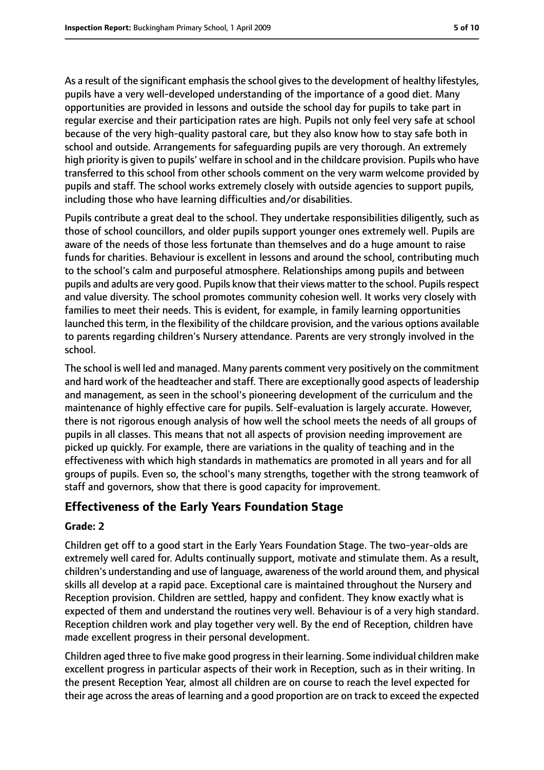As a result of the significant emphasis the school gives to the development of healthy lifestyles, pupils have a very well-developed understanding of the importance of a good diet. Many opportunities are provided in lessons and outside the school day for pupils to take part in regular exercise and their participation rates are high. Pupils not only feel very safe at school because of the very high-quality pastoral care, but they also know how to stay safe both in school and outside. Arrangements for safeguarding pupils are very thorough. An extremely high priority is given to pupils' welfare in school and in the childcare provision. Pupils who have transferred to this school from other schools comment on the very warm welcome provided by pupils and staff. The school works extremely closely with outside agencies to support pupils, including those who have learning difficulties and/or disabilities.

Pupils contribute a great deal to the school. They undertake responsibilities diligently, such as those of school councillors, and older pupils support younger ones extremely well. Pupils are aware of the needs of those less fortunate than themselves and do a huge amount to raise funds for charities. Behaviour is excellent in lessons and around the school, contributing much to the school's calm and purposeful atmosphere. Relationships among pupils and between pupils and adults are very good. Pupils know that their views matter to the school. Pupils respect and value diversity. The school promotes community cohesion well. It works very closely with families to meet their needs. This is evident, for example, in family learning opportunities launched this term, in the flexibility of the childcare provision, and the various options available to parents regarding children's Nursery attendance. Parents are very strongly involved in the school.

The school is well led and managed. Many parents comment very positively on the commitment and hard work of the headteacher and staff. There are exceptionally good aspects of leadership and management, as seen in the school's pioneering development of the curriculum and the maintenance of highly effective care for pupils. Self-evaluation is largely accurate. However, there is not rigorous enough analysis of how well the school meets the needs of all groups of pupils in all classes. This means that not all aspects of provision needing improvement are picked up quickly. For example, there are variations in the quality of teaching and in the effectiveness with which high standards in mathematics are promoted in all years and for all groups of pupils. Even so, the school's many strengths, together with the strong teamwork of staff and governors, show that there is good capacity for improvement.

#### **Effectiveness of the Early Years Foundation Stage**

#### **Grade: 2**

Children get off to a good start in the Early Years Foundation Stage. The two-year-olds are extremely well cared for. Adults continually support, motivate and stimulate them. As a result, children's understanding and use of language, awareness of the world around them, and physical skills all develop at a rapid pace. Exceptional care is maintained throughout the Nursery and Reception provision. Children are settled, happy and confident. They know exactly what is expected of them and understand the routines very well. Behaviour is of a very high standard. Reception children work and play together very well. By the end of Reception, children have made excellent progress in their personal development.

Children aged three to five make good progressin their learning. Some individual children make excellent progress in particular aspects of their work in Reception, such as in their writing. In the present Reception Year, almost all children are on course to reach the level expected for their age acrossthe areas of learning and a good proportion are on track to exceed the expected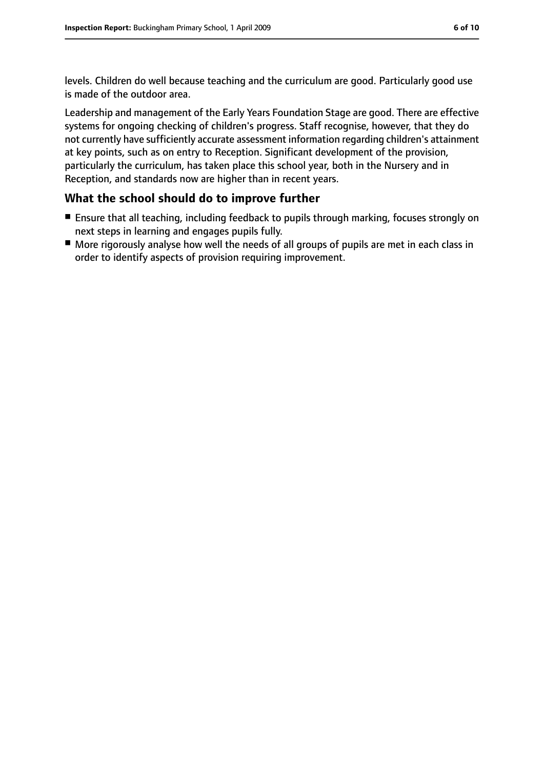levels. Children do well because teaching and the curriculum are good. Particularly good use is made of the outdoor area.

Leadership and management of the Early Years Foundation Stage are good. There are effective systems for ongoing checking of children's progress. Staff recognise, however, that they do not currently have sufficiently accurate assessment information regarding children's attainment at key points, such as on entry to Reception. Significant development of the provision, particularly the curriculum, has taken place this school year, both in the Nursery and in Reception, and standards now are higher than in recent years.

#### **What the school should do to improve further**

- Ensure that all teaching, including feedback to pupils through marking, focuses strongly on next steps in learning and engages pupils fully.
- More rigorously analyse how well the needs of all groups of pupils are met in each class in order to identify aspects of provision requiring improvement.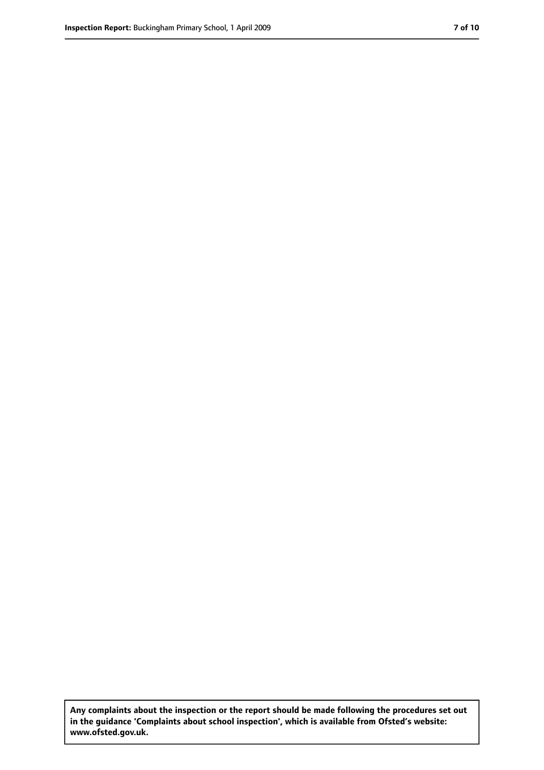**Any complaints about the inspection or the report should be made following the procedures set out in the guidance 'Complaints about school inspection', which is available from Ofsted's website: www.ofsted.gov.uk.**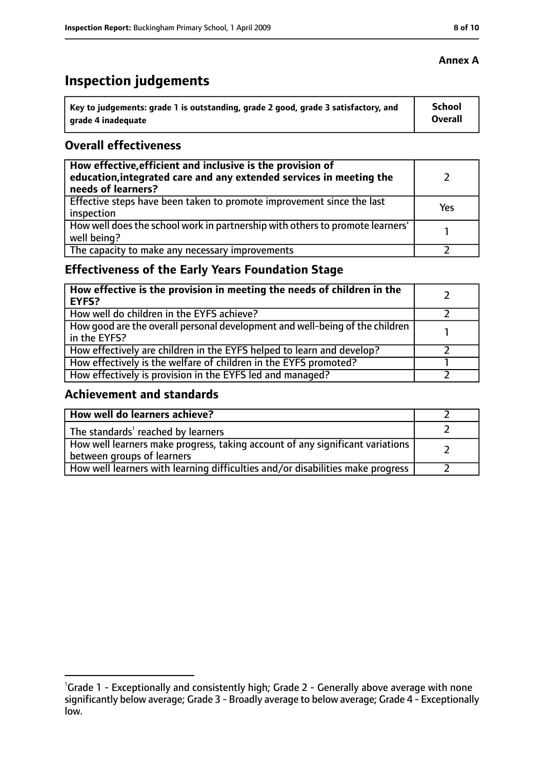# **Inspection judgements**

| \ Key to judgements: grade 1 is outstanding, grade 2 good, grade 3 satisfactory, and | <b>School</b>  |
|--------------------------------------------------------------------------------------|----------------|
| arade 4 inadequate                                                                   | <b>Overall</b> |

#### **Overall effectiveness**

| How effective, efficient and inclusive is the provision of<br>education, integrated care and any extended services in meeting the<br>needs of learners? |     |
|---------------------------------------------------------------------------------------------------------------------------------------------------------|-----|
| Effective steps have been taken to promote improvement since the last<br>inspection                                                                     | Yes |
| How well does the school work in partnership with others to promote learners'<br>well being?                                                            |     |
| The capacity to make any necessary improvements                                                                                                         |     |

# **Effectiveness of the Early Years Foundation Stage**

| How effective is the provision in meeting the needs of children in the<br>l EYFS?              |  |
|------------------------------------------------------------------------------------------------|--|
| How well do children in the EYFS achieve?                                                      |  |
| How good are the overall personal development and well-being of the children<br>I in the EYFS? |  |
| How effectively are children in the EYFS helped to learn and develop?                          |  |
| How effectively is the welfare of children in the EYFS promoted?                               |  |
| How effectively is provision in the EYFS led and managed?                                      |  |

#### **Achievement and standards**

| How well do learners achieve?                                                  |  |
|--------------------------------------------------------------------------------|--|
| The standards <sup>1</sup> reached by learners                                 |  |
| How well learners make progress, taking account of any significant variations  |  |
| between groups of learners                                                     |  |
| How well learners with learning difficulties and/or disabilities make progress |  |

#### **Annex A**

<sup>&</sup>lt;sup>1</sup>Grade 1 - Exceptionally and consistently high; Grade 2 - Generally above average with none significantly below average; Grade 3 - Broadly average to below average; Grade 4 - Exceptionally low.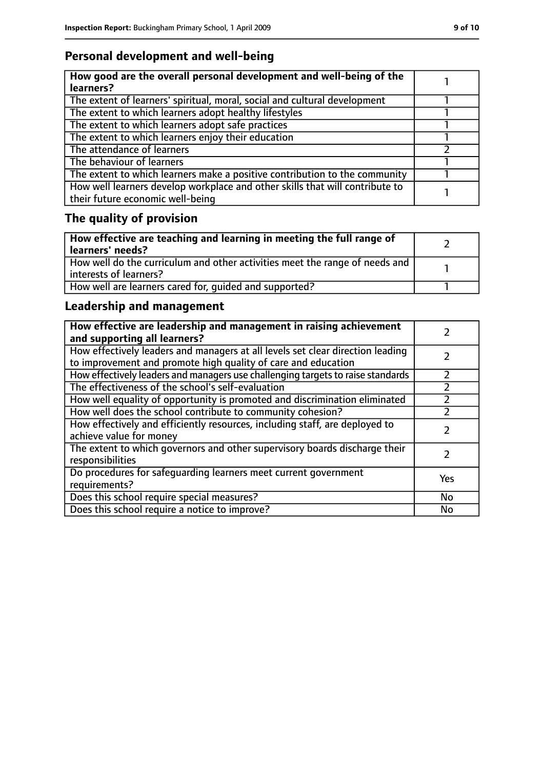# **Personal development and well-being**

| How good are the overall personal development and well-being of the<br>learners?                                 |  |
|------------------------------------------------------------------------------------------------------------------|--|
| The extent of learners' spiritual, moral, social and cultural development                                        |  |
| The extent to which learners adopt healthy lifestyles                                                            |  |
| The extent to which learners adopt safe practices                                                                |  |
| The extent to which learners enjoy their education                                                               |  |
| The attendance of learners                                                                                       |  |
| The behaviour of learners                                                                                        |  |
| The extent to which learners make a positive contribution to the community                                       |  |
| How well learners develop workplace and other skills that will contribute to<br>their future economic well-being |  |

# **The quality of provision**

| How effective are teaching and learning in meeting the full range of<br>learners' needs?              |  |
|-------------------------------------------------------------------------------------------------------|--|
| How well do the curriculum and other activities meet the range of needs and<br>interests of learners? |  |
| How well are learners cared for, quided and supported?                                                |  |

# **Leadership and management**

| How effective are leadership and management in raising achievement<br>and supporting all learners?                                              |     |
|-------------------------------------------------------------------------------------------------------------------------------------------------|-----|
| How effectively leaders and managers at all levels set clear direction leading<br>to improvement and promote high quality of care and education |     |
| How effectively leaders and managers use challenging targets to raise standards                                                                 |     |
| The effectiveness of the school's self-evaluation                                                                                               |     |
| How well equality of opportunity is promoted and discrimination eliminated                                                                      |     |
| How well does the school contribute to community cohesion?                                                                                      |     |
| How effectively and efficiently resources, including staff, are deployed to<br>achieve value for money                                          |     |
| The extent to which governors and other supervisory boards discharge their<br>responsibilities                                                  |     |
| Do procedures for safeguarding learners meet current government<br>requirements?                                                                | Yes |
| Does this school require special measures?                                                                                                      | No  |
| Does this school require a notice to improve?                                                                                                   | No  |